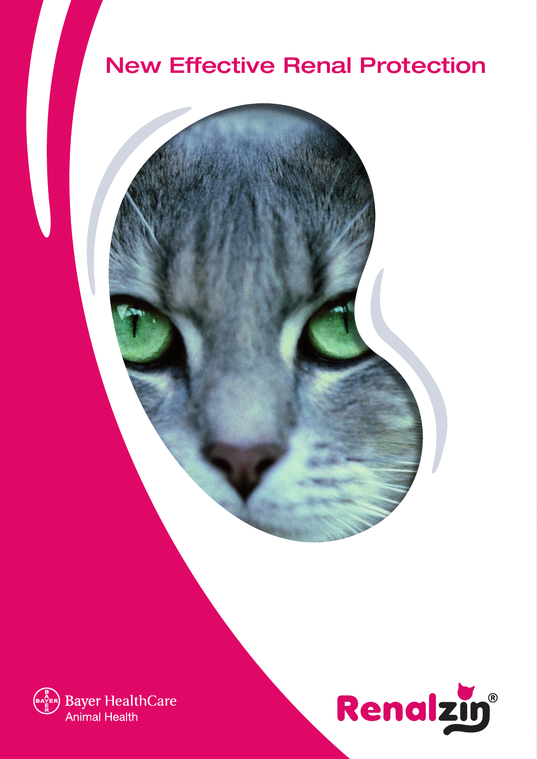## New Effective Renal Protection



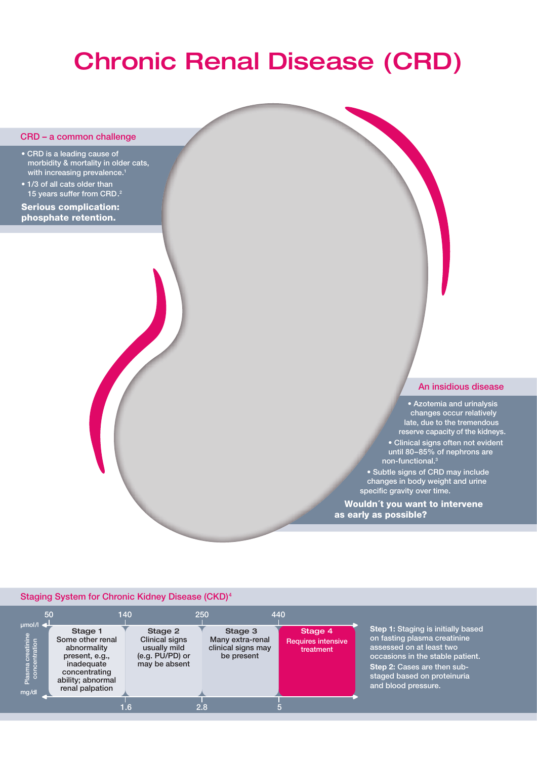# Chronic Renal Disease (CRD)

#### CRD – a common challenge

- CRD is a leading cause of morbidity & mortality in older cats, with increasing prevalence.<sup>1</sup>
- 1/3 of all cats older than 15 years suffer from CRD.2

Serious complication: phosphate retention.

#### An insidious disease

• Azotemia and urinalysis changes occur relatively late, due to the tremendous reserve capacity of the kidneys. • Clinical signs often not evident until 80–85% of nephrons are non-functional.<sup>3</sup>

• Subtle signs of CRD may include changes in body weight and urine specific gravity over time.

Wouldn´t you want to intervene as early as possible?

#### Staging System for Chronic Kidney Disease (CKD)4

|                                                                                 | 50                                                                                                                                  | 140 |                                                                                      | 250 |                                                                 | 440 |                                                   |                                                                                                                                                                                                                         |
|---------------------------------------------------------------------------------|-------------------------------------------------------------------------------------------------------------------------------------|-----|--------------------------------------------------------------------------------------|-----|-----------------------------------------------------------------|-----|---------------------------------------------------|-------------------------------------------------------------------------------------------------------------------------------------------------------------------------------------------------------------------------|
| $\mu$ mol/l $\blacktriangleleft$<br>Plasma creatinine<br>concentration<br>mq/dl | Stage 1<br>Some other renal<br>abnormality<br>present, e.g.,<br>inadequate<br>concentrating<br>ability; abnormal<br>renal palpation |     | Stage 2<br><b>Clinical signs</b><br>usually mild<br>(e.g. PU/PD) or<br>may be absent |     | Stage 3<br>Many extra-renal<br>clinical signs may<br>be present |     | Stage 4<br><b>Requires intensive</b><br>treatment | Step 1: Staging is initially based<br>on fasting plasma creatinine<br>assessed on at least two<br>occasions in the stable patient.<br>Step 2: Cases are then sub-<br>staged based on proteinuria<br>and blood pressure. |
|                                                                                 |                                                                                                                                     |     |                                                                                      | 2.8 |                                                                 |     |                                                   |                                                                                                                                                                                                                         |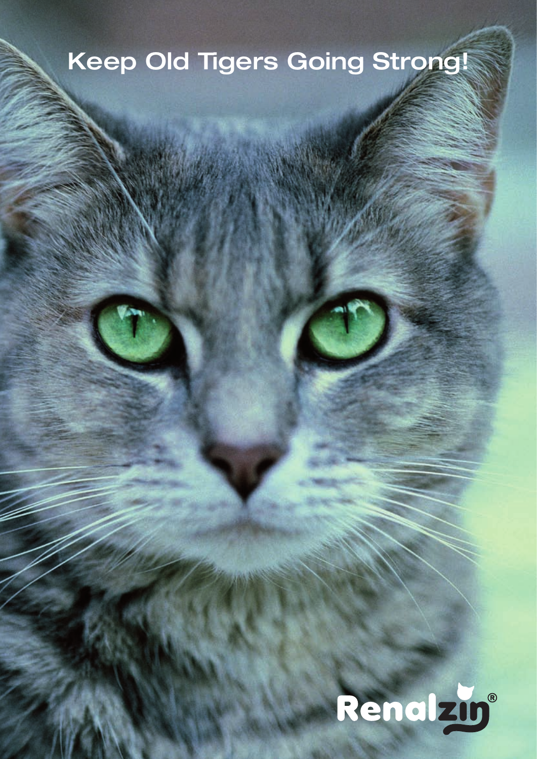# Keep Old Tigers Going Strong!

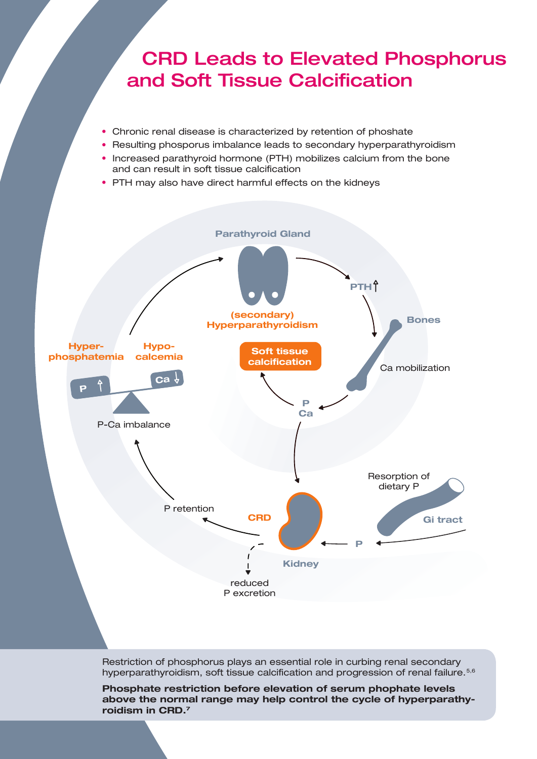### CRD Leads to Elevated Phosphorus and Soft Tissue Calcification

- Chronic renal disease is characterized by retention of phoshate
- Resulting phosporus imbalance leads to secondary hyperparathyroidism
- Increased parathyroid hormone (PTH) mobilizes calcium from the bone and can result in soft tissue calcification
- PTH may also have direct harmful effects on the kidneys



Restriction of phosphorus plays an essential role in curbing renal secondary hyperparathyroidism, soft tissue calcification and progression of renal failure.<sup>5,6</sup>

**Phosphate restriction before elevation of serum phophate levels above the normal range may help control the cycle of hyperparathyroidism in CRD.7**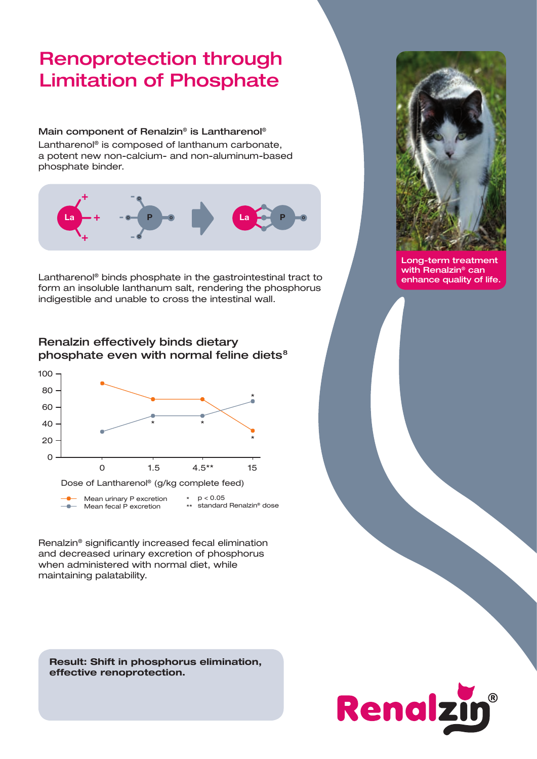### Renoprotection through Limitation of Phosphate

### Main component of Renalzin® is Lantharenol®

Lantharenol® is composed of lanthanum carbonate, a potent new non-calcium- and non-aluminum-based phosphate binder.



Lantharenol® binds phosphate in the gastrointestinal tract to form an insoluble lanthanum salt, rendering the phosphorus indigestible and unable to cross the intestinal wall.

### Renalzin effectively binds dietary phosphate even with normal feline diets<sup>8</sup>



Renalzin® significantly increased fecal elimination and decreased urinary excretion of phosphorus when administered with normal diet, while maintaining palatability.

**Result: Shift in phosphorus elimination, effective renoprotection.**



Long-term treatment with Renalzin<sup>®</sup> can enhance quality of life.

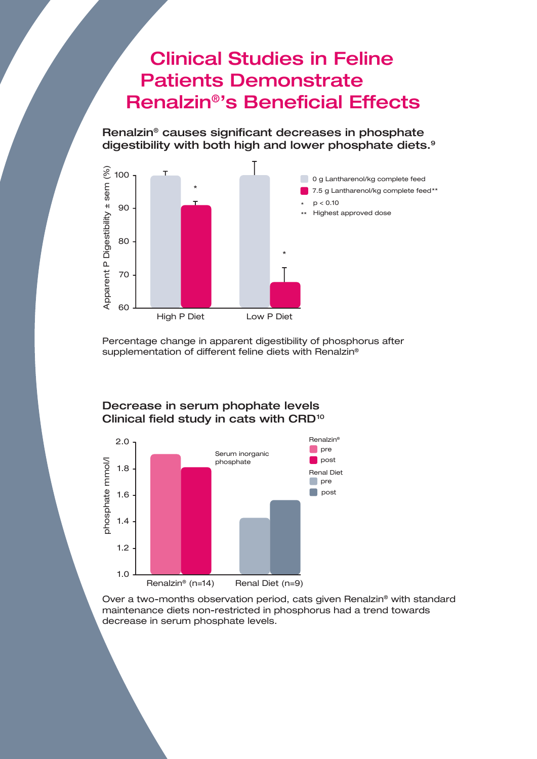### Clinical Studies in Feline Patients Demonstrate Renalzin®'s Beneficial Effects

Renalzin® causes significant decreases in phosphate digestibility with both high and lower phosphate diets.<sup>9</sup>



Percentage change in apparent digestibility of phosphorus after supplementation of different feline diets with Renalzin®



Decrease in serum phophate levels Clinical field study in cats with CRD<sup>10</sup>

Over a two-months observation period, cats given Renalzin® with standard maintenance diets non-restricted in phosphorus had a trend towards decrease in serum phosphate levels.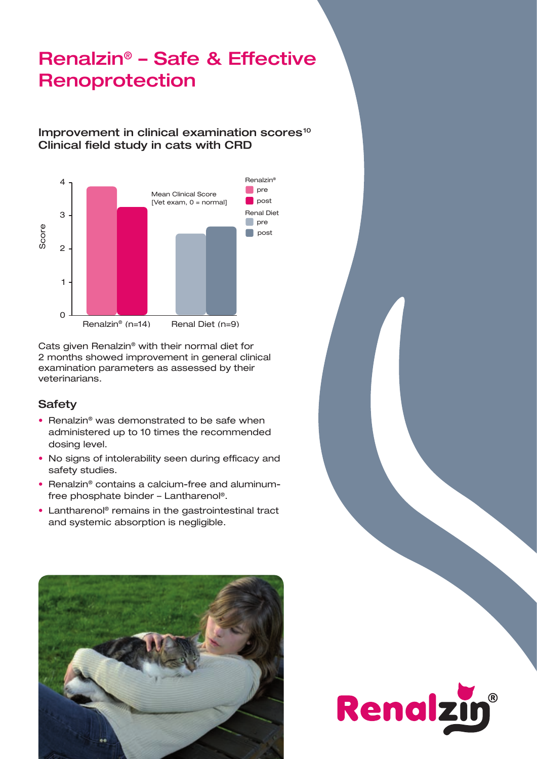### Renalzin® – Safe & Effective Renoprotection

### Improvement in clinical examination scores<sup>10</sup> Clinical field study in cats with CRD



Cats given Renalzin® with their normal diet for 2 months showed improvement in general clinical examination parameters as assessed by their veterinarians.

### **Safety**

- Renalzin<sup>®</sup> was demonstrated to be safe when administered up to 10 times the recommended dosing level.
- No signs of intolerability seen during efficacy and safety studies.
- Renalzin® contains a calcium-free and aluminumfree phosphate binder – Lantharenol®.
- Lantharenol® remains in the gastrointestinal tract and systemic absorption is negligible.